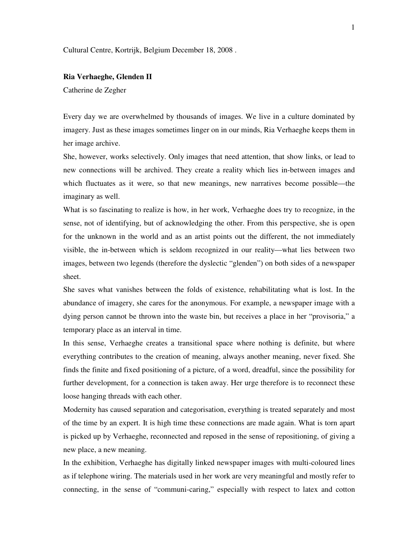Cultural Centre, Kortrijk, Belgium December 18, 2008 .

## **Ria Verhaeghe, Glenden II**

Catherine de Zegher

Every day we are overwhelmed by thousands of images. We live in a culture dominated by imagery. Just as these images sometimes linger on in our minds, Ria Verhaeghe keeps them in her image archive.

She, however, works selectively. Only images that need attention, that show links, or lead to new connections will be archived. They create a reality which lies in-between images and which fluctuates as it were, so that new meanings, new narratives become possible—the imaginary as well.

What is so fascinating to realize is how, in her work, Verhaeghe does try to recognize, in the sense, not of identifying, but of acknowledging the other. From this perspective, she is open for the unknown in the world and as an artist points out the different, the not immediately visible, the in-between which is seldom recognized in our reality—what lies between two images, between two legends (therefore the dyslectic "glenden") on both sides of a newspaper sheet.

She saves what vanishes between the folds of existence, rehabilitating what is lost. In the abundance of imagery, she cares for the anonymous. For example, a newspaper image with a dying person cannot be thrown into the waste bin, but receives a place in her "provisoria," a temporary place as an interval in time.

In this sense, Verhaeghe creates a transitional space where nothing is definite, but where everything contributes to the creation of meaning, always another meaning, never fixed. She finds the finite and fixed positioning of a picture, of a word, dreadful, since the possibility for further development, for a connection is taken away. Her urge therefore is to reconnect these loose hanging threads with each other.

Modernity has caused separation and categorisation, everything is treated separately and most of the time by an expert. It is high time these connections are made again. What is torn apart is picked up by Verhaeghe, reconnected and reposed in the sense of repositioning, of giving a new place, a new meaning.

In the exhibition, Verhaeghe has digitally linked newspaper images with multi-coloured lines as if telephone wiring. The materials used in her work are very meaningful and mostly refer to connecting, in the sense of "communi-caring," especially with respect to latex and cotton